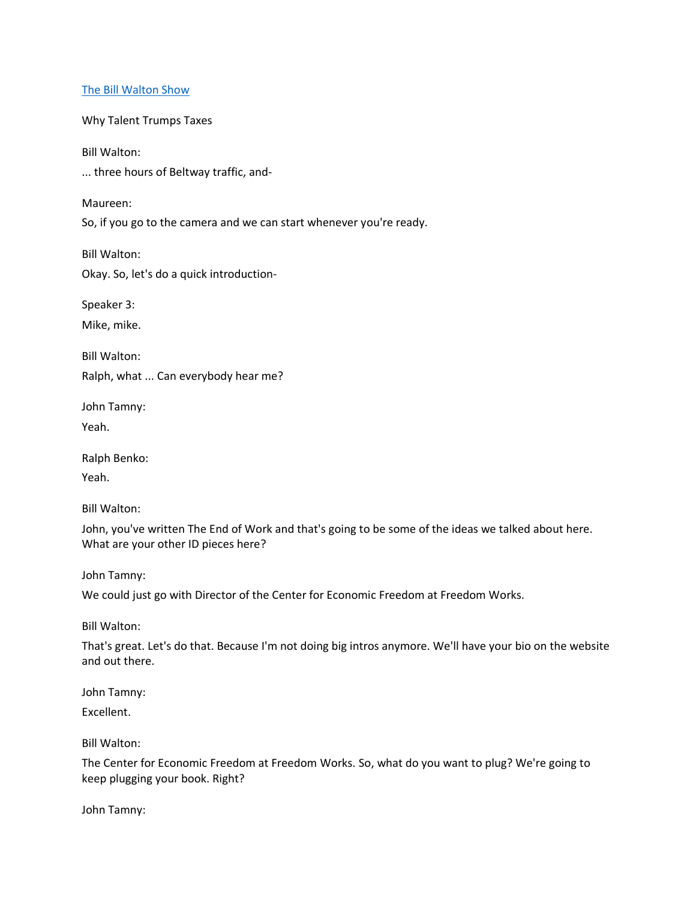## [The Bill Walton Show](https://thebillwaltonshow.com/)

Why Talent Trumps Taxes

Bill Walton:

... three hours of Beltway traffic, and-

Maureen:

So, if you go to the camera and we can start whenever you're ready.

Bill Walton:

Okay. So, let's do a quick introduction-

Speaker 3:

Mike, mike.

Bill Walton:

Ralph, what ... Can everybody hear me?

John Tamny:

Yeah.

Ralph Benko:

Yeah.

Bill Walton:

John, you've written The End of Work and that's going to be some of the ideas we talked about here. What are your other ID pieces here?

John Tamny:

We could just go with Director of the Center for Economic Freedom at Freedom Works.

Bill Walton:

That's great. Let's do that. Because I'm not doing big intros anymore. We'll have your bio on the website and out there.

John Tamny:

Excellent.

Bill Walton:

The Center for Economic Freedom at Freedom Works. So, what do you want to plug? We're going to keep plugging your book. Right?

John Tamny: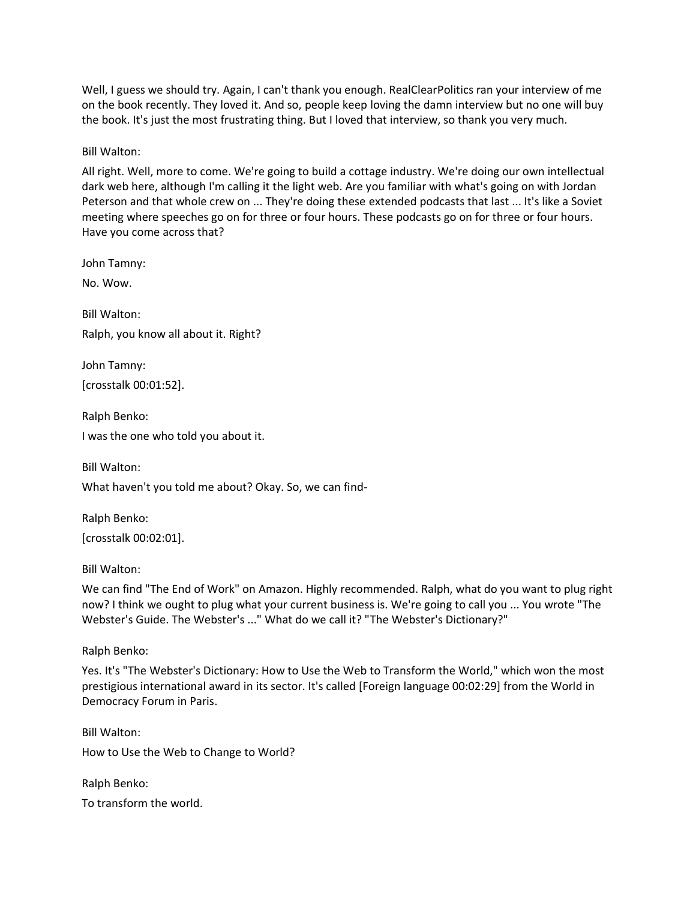Well, I guess we should try. Again, I can't thank you enough. RealClearPolitics ran your interview of me on the book recently. They loved it. And so, people keep loving the damn interview but no one will buy the book. It's just the most frustrating thing. But I loved that interview, so thank you very much.

Bill Walton:

All right. Well, more to come. We're going to build a cottage industry. We're doing our own intellectual dark web here, although I'm calling it the light web. Are you familiar with what's going on with Jordan Peterson and that whole crew on ... They're doing these extended podcasts that last ... It's like a Soviet meeting where speeches go on for three or four hours. These podcasts go on for three or four hours. Have you come across that?

John Tamny:

No. Wow.

Bill Walton: Ralph, you know all about it. Right?

John Tamny: [crosstalk 00:01:52].

Ralph Benko: I was the one who told you about it.

Bill Walton: What haven't you told me about? Okay. So, we can find-

Ralph Benko: [crosstalk 00:02:01].

Bill Walton:

We can find "The End of Work" on Amazon. Highly recommended. Ralph, what do you want to plug right now? I think we ought to plug what your current business is. We're going to call you ... You wrote "The Webster's Guide. The Webster's ..." What do we call it? "The Webster's Dictionary?"

Ralph Benko:

Yes. It's "The Webster's Dictionary: How to Use the Web to Transform the World," which won the most prestigious international award in its sector. It's called [Foreign language 00:02:29] from the World in Democracy Forum in Paris.

Bill Walton: How to Use the Web to Change to World?

Ralph Benko: To transform the world.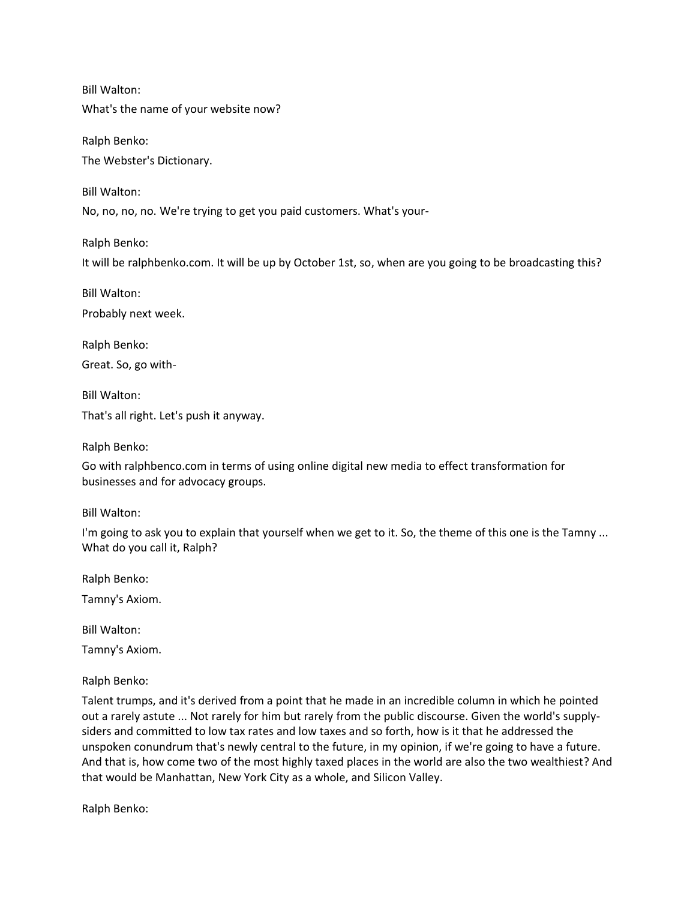Bill Walton:

What's the name of your website now?

Ralph Benko: The Webster's Dictionary.

Bill Walton:

No, no, no, no. We're trying to get you paid customers. What's your-

Ralph Benko:

It will be ralphbenko.com. It will be up by October 1st, so, when are you going to be broadcasting this?

Bill Walton: Probably next week.

Ralph Benko: Great. So, go with-

Bill Walton: That's all right. Let's push it anyway.

Ralph Benko:

Go with ralphbenco.com in terms of using online digital new media to effect transformation for businesses and for advocacy groups.

Bill Walton:

I'm going to ask you to explain that yourself when we get to it. So, the theme of this one is the Tamny ... What do you call it, Ralph?

Ralph Benko:

Tamny's Axiom.

Bill Walton:

Tamny's Axiom.

Ralph Benko:

Talent trumps, and it's derived from a point that he made in an incredible column in which he pointed out a rarely astute ... Not rarely for him but rarely from the public discourse. Given the world's supplysiders and committed to low tax rates and low taxes and so forth, how is it that he addressed the unspoken conundrum that's newly central to the future, in my opinion, if we're going to have a future. And that is, how come two of the most highly taxed places in the world are also the two wealthiest? And that would be Manhattan, New York City as a whole, and Silicon Valley.

Ralph Benko: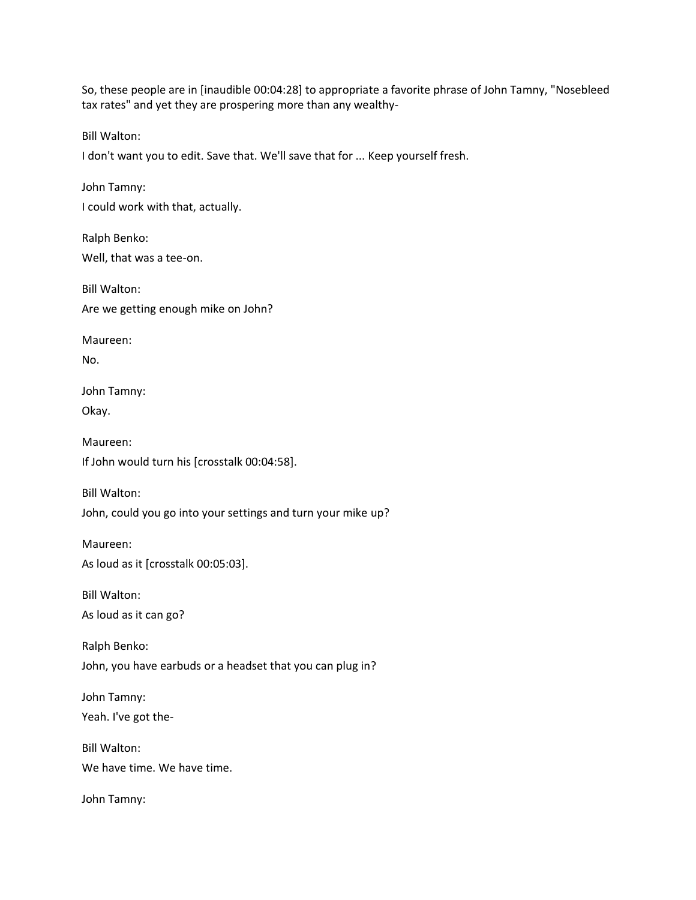So, these people are in [inaudible 00:04:28] to appropriate a favorite phrase of John Tamny, "Nosebleed tax rates" and yet they are prospering more than any wealthy-

Bill Walton:

I don't want you to edit. Save that. We'll save that for ... Keep yourself fresh.

John Tamny: I could work with that, actually.

Ralph Benko: Well, that was a tee-on.

Bill Walton: Are we getting enough mike on John?

Maureen: No.

John Tamny: Okay.

Maureen: If John would turn his [crosstalk 00:04:58].

Bill Walton: John, could you go into your settings and turn your mike up?

Maureen: As loud as it [crosstalk 00:05:03].

Bill Walton: As loud as it can go?

Ralph Benko: John, you have earbuds or a headset that you can plug in?

John Tamny: Yeah. I've got the-

Bill Walton: We have time. We have time.

John Tamny: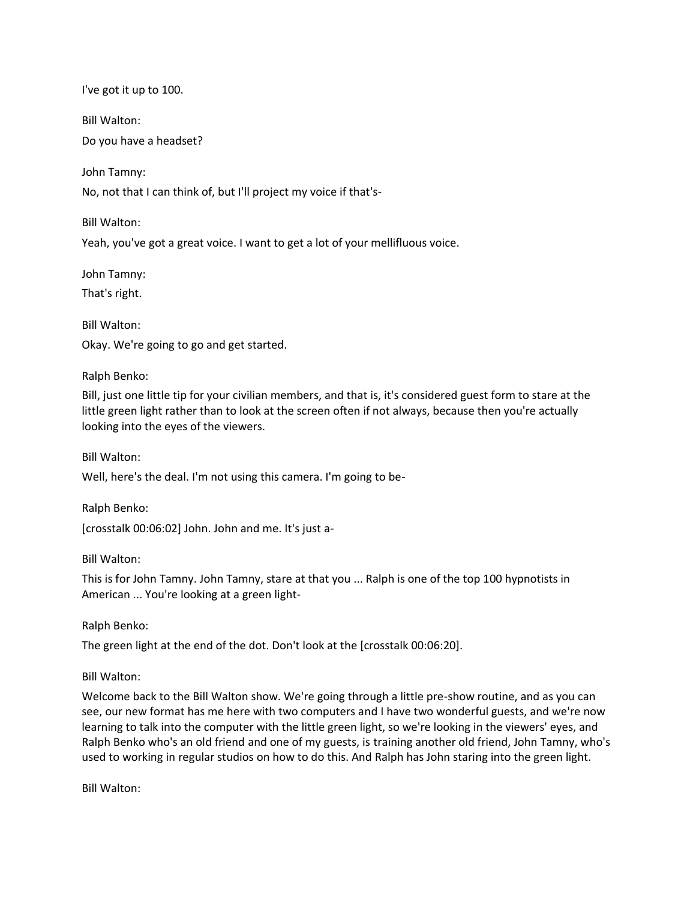I've got it up to 100.

Bill Walton:

Do you have a headset?

John Tamny:

No, not that I can think of, but I'll project my voice if that's-

Bill Walton:

Yeah, you've got a great voice. I want to get a lot of your mellifluous voice.

John Tamny:

That's right.

Bill Walton: Okay. We're going to go and get started.

Ralph Benko:

Bill, just one little tip for your civilian members, and that is, it's considered guest form to stare at the little green light rather than to look at the screen often if not always, because then you're actually looking into the eyes of the viewers.

Bill Walton:

Well, here's the deal. I'm not using this camera. I'm going to be-

Ralph Benko:

[crosstalk 00:06:02] John. John and me. It's just a-

Bill Walton:

This is for John Tamny. John Tamny, stare at that you ... Ralph is one of the top 100 hypnotists in American ... You're looking at a green light-

Ralph Benko:

The green light at the end of the dot. Don't look at the [crosstalk 00:06:20].

Bill Walton:

Welcome back to the Bill Walton show. We're going through a little pre-show routine, and as you can see, our new format has me here with two computers and I have two wonderful guests, and we're now learning to talk into the computer with the little green light, so we're looking in the viewers' eyes, and Ralph Benko who's an old friend and one of my guests, is training another old friend, John Tamny, who's used to working in regular studios on how to do this. And Ralph has John staring into the green light.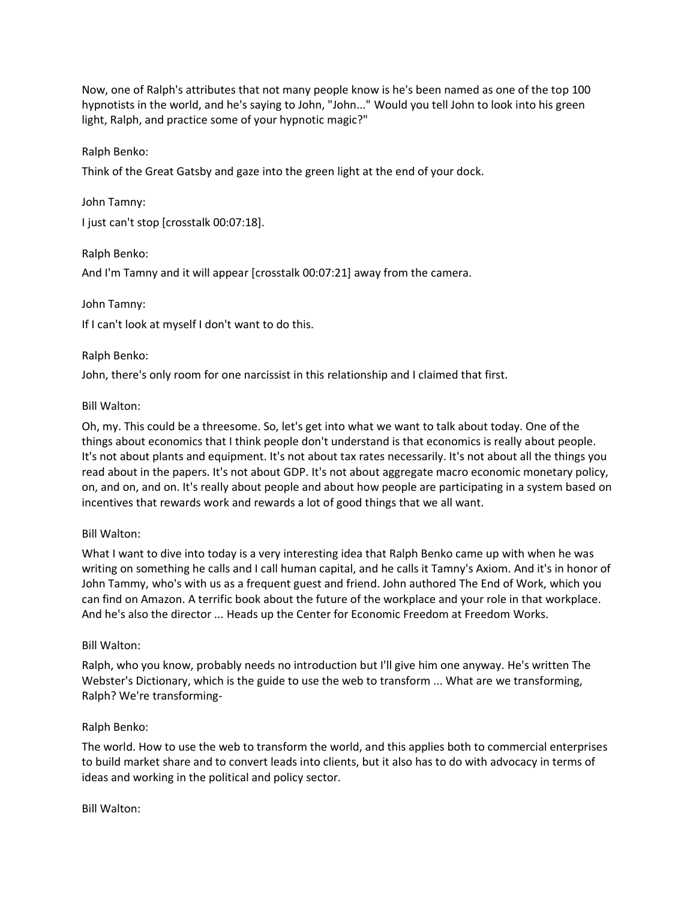Now, one of Ralph's attributes that not many people know is he's been named as one of the top 100 hypnotists in the world, and he's saying to John, "John..." Would you tell John to look into his green light, Ralph, and practice some of your hypnotic magic?"

Ralph Benko:

Think of the Great Gatsby and gaze into the green light at the end of your dock.

John Tamny: I just can't stop [crosstalk 00:07:18].

Ralph Benko:

And I'm Tamny and it will appear [crosstalk 00:07:21] away from the camera.

John Tamny:

If I can't look at myself I don't want to do this.

## Ralph Benko:

John, there's only room for one narcissist in this relationship and I claimed that first.

## Bill Walton:

Oh, my. This could be a threesome. So, let's get into what we want to talk about today. One of the things about economics that I think people don't understand is that economics is really about people. It's not about plants and equipment. It's not about tax rates necessarily. It's not about all the things you read about in the papers. It's not about GDP. It's not about aggregate macro economic monetary policy, on, and on, and on. It's really about people and about how people are participating in a system based on incentives that rewards work and rewards a lot of good things that we all want.

## Bill Walton:

What I want to dive into today is a very interesting idea that Ralph Benko came up with when he was writing on something he calls and I call human capital, and he calls it Tamny's Axiom. And it's in honor of John Tammy, who's with us as a frequent guest and friend. John authored The End of Work, which you can find on Amazon. A terrific book about the future of the workplace and your role in that workplace. And he's also the director ... Heads up the Center for Economic Freedom at Freedom Works.

## Bill Walton:

Ralph, who you know, probably needs no introduction but I'll give him one anyway. He's written The Webster's Dictionary, which is the guide to use the web to transform ... What are we transforming, Ralph? We're transforming-

## Ralph Benko:

The world. How to use the web to transform the world, and this applies both to commercial enterprises to build market share and to convert leads into clients, but it also has to do with advocacy in terms of ideas and working in the political and policy sector.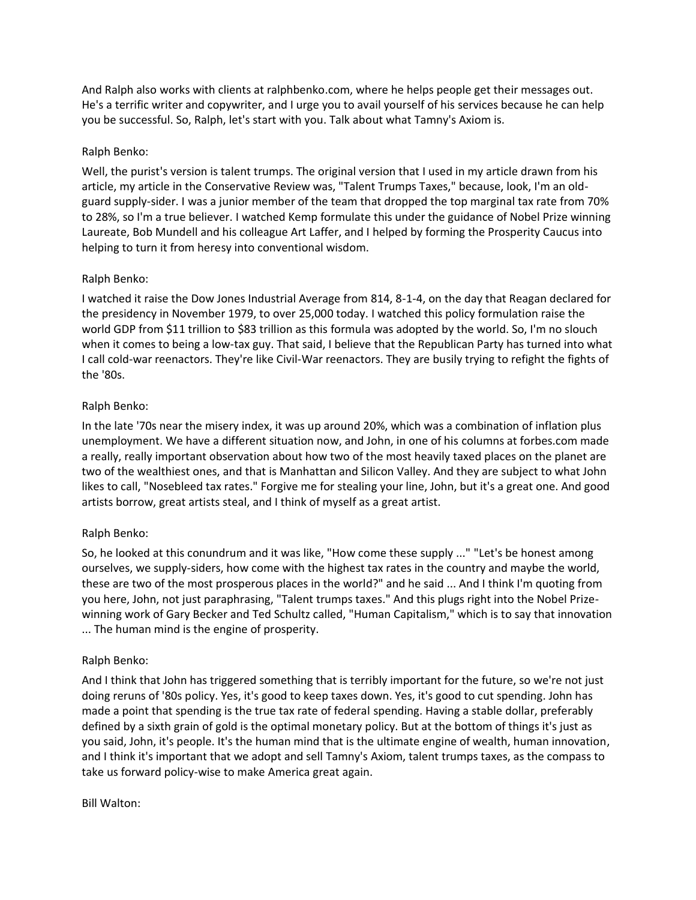And Ralph also works with clients at ralphbenko.com, where he helps people get their messages out. He's a terrific writer and copywriter, and I urge you to avail yourself of his services because he can help you be successful. So, Ralph, let's start with you. Talk about what Tamny's Axiom is.

## Ralph Benko:

Well, the purist's version is talent trumps. The original version that I used in my article drawn from his article, my article in the Conservative Review was, "Talent Trumps Taxes," because, look, I'm an oldguard supply-sider. I was a junior member of the team that dropped the top marginal tax rate from 70% to 28%, so I'm a true believer. I watched Kemp formulate this under the guidance of Nobel Prize winning Laureate, Bob Mundell and his colleague Art Laffer, and I helped by forming the Prosperity Caucus into helping to turn it from heresy into conventional wisdom.

# Ralph Benko:

I watched it raise the Dow Jones Industrial Average from 814, 8-1-4, on the day that Reagan declared for the presidency in November 1979, to over 25,000 today. I watched this policy formulation raise the world GDP from \$11 trillion to \$83 trillion as this formula was adopted by the world. So, I'm no slouch when it comes to being a low-tax guy. That said, I believe that the Republican Party has turned into what I call cold-war reenactors. They're like Civil-War reenactors. They are busily trying to refight the fights of the '80s.

# Ralph Benko:

In the late '70s near the misery index, it was up around 20%, which was a combination of inflation plus unemployment. We have a different situation now, and John, in one of his columns at forbes.com made a really, really important observation about how two of the most heavily taxed places on the planet are two of the wealthiest ones, and that is Manhattan and Silicon Valley. And they are subject to what John likes to call, "Nosebleed tax rates." Forgive me for stealing your line, John, but it's a great one. And good artists borrow, great artists steal, and I think of myself as a great artist.

## Ralph Benko:

So, he looked at this conundrum and it was like, "How come these supply ..." "Let's be honest among ourselves, we supply-siders, how come with the highest tax rates in the country and maybe the world, these are two of the most prosperous places in the world?" and he said ... And I think I'm quoting from you here, John, not just paraphrasing, "Talent trumps taxes." And this plugs right into the Nobel Prizewinning work of Gary Becker and Ted Schultz called, "Human Capitalism," which is to say that innovation ... The human mind is the engine of prosperity.

## Ralph Benko:

And I think that John has triggered something that is terribly important for the future, so we're not just doing reruns of '80s policy. Yes, it's good to keep taxes down. Yes, it's good to cut spending. John has made a point that spending is the true tax rate of federal spending. Having a stable dollar, preferably defined by a sixth grain of gold is the optimal monetary policy. But at the bottom of things it's just as you said, John, it's people. It's the human mind that is the ultimate engine of wealth, human innovation, and I think it's important that we adopt and sell Tamny's Axiom, talent trumps taxes, as the compass to take us forward policy-wise to make America great again.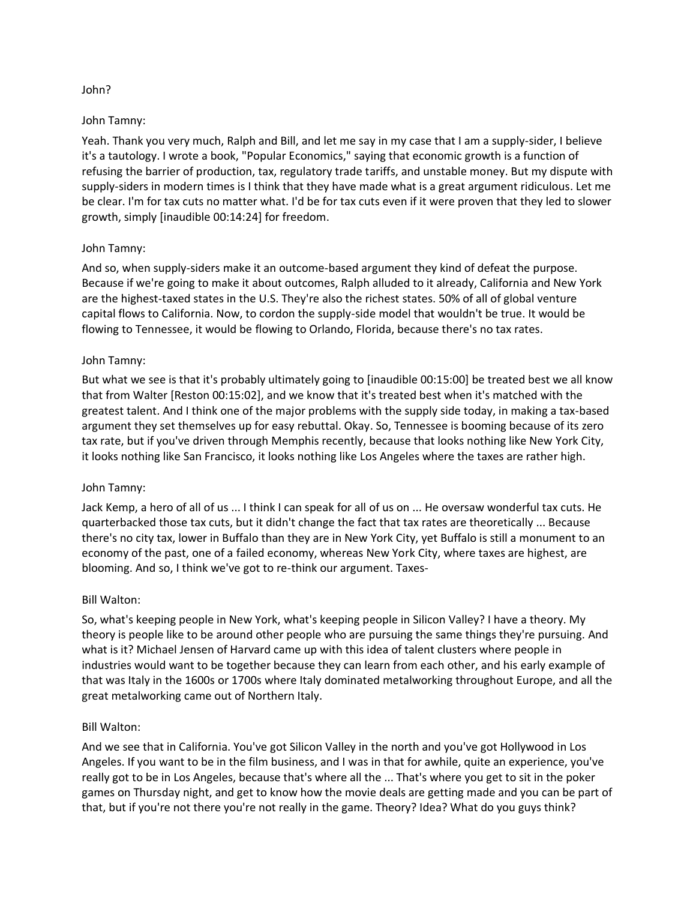### John?

### John Tamny:

Yeah. Thank you very much, Ralph and Bill, and let me say in my case that I am a supply-sider, I believe it's a tautology. I wrote a book, "Popular Economics," saying that economic growth is a function of refusing the barrier of production, tax, regulatory trade tariffs, and unstable money. But my dispute with supply-siders in modern times is I think that they have made what is a great argument ridiculous. Let me be clear. I'm for tax cuts no matter what. I'd be for tax cuts even if it were proven that they led to slower growth, simply [inaudible 00:14:24] for freedom.

## John Tamny:

And so, when supply-siders make it an outcome-based argument they kind of defeat the purpose. Because if we're going to make it about outcomes, Ralph alluded to it already, California and New York are the highest-taxed states in the U.S. They're also the richest states. 50% of all of global venture capital flows to California. Now, to cordon the supply-side model that wouldn't be true. It would be flowing to Tennessee, it would be flowing to Orlando, Florida, because there's no tax rates.

### John Tamny:

But what we see is that it's probably ultimately going to [inaudible 00:15:00] be treated best we all know that from Walter [Reston 00:15:02], and we know that it's treated best when it's matched with the greatest talent. And I think one of the major problems with the supply side today, in making a tax-based argument they set themselves up for easy rebuttal. Okay. So, Tennessee is booming because of its zero tax rate, but if you've driven through Memphis recently, because that looks nothing like New York City, it looks nothing like San Francisco, it looks nothing like Los Angeles where the taxes are rather high.

## John Tamny:

Jack Kemp, a hero of all of us ... I think I can speak for all of us on ... He oversaw wonderful tax cuts. He quarterbacked those tax cuts, but it didn't change the fact that tax rates are theoretically ... Because there's no city tax, lower in Buffalo than they are in New York City, yet Buffalo is still a monument to an economy of the past, one of a failed economy, whereas New York City, where taxes are highest, are blooming. And so, I think we've got to re-think our argument. Taxes-

## Bill Walton:

So, what's keeping people in New York, what's keeping people in Silicon Valley? I have a theory. My theory is people like to be around other people who are pursuing the same things they're pursuing. And what is it? Michael Jensen of Harvard came up with this idea of talent clusters where people in industries would want to be together because they can learn from each other, and his early example of that was Italy in the 1600s or 1700s where Italy dominated metalworking throughout Europe, and all the great metalworking came out of Northern Italy.

## Bill Walton:

And we see that in California. You've got Silicon Valley in the north and you've got Hollywood in Los Angeles. If you want to be in the film business, and I was in that for awhile, quite an experience, you've really got to be in Los Angeles, because that's where all the ... That's where you get to sit in the poker games on Thursday night, and get to know how the movie deals are getting made and you can be part of that, but if you're not there you're not really in the game. Theory? Idea? What do you guys think?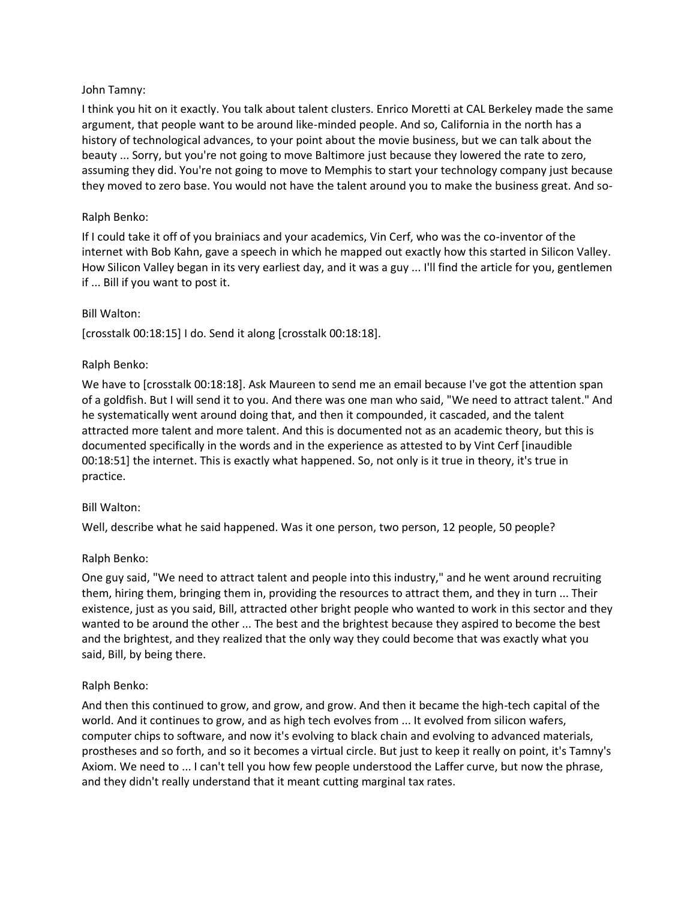## John Tamny:

I think you hit on it exactly. You talk about talent clusters. Enrico Moretti at CAL Berkeley made the same argument, that people want to be around like-minded people. And so, California in the north has a history of technological advances, to your point about the movie business, but we can talk about the beauty ... Sorry, but you're not going to move Baltimore just because they lowered the rate to zero, assuming they did. You're not going to move to Memphis to start your technology company just because they moved to zero base. You would not have the talent around you to make the business great. And so-

## Ralph Benko:

If I could take it off of you brainiacs and your academics, Vin Cerf, who was the co-inventor of the internet with Bob Kahn, gave a speech in which he mapped out exactly how this started in Silicon Valley. How Silicon Valley began in its very earliest day, and it was a guy ... I'll find the article for you, gentlemen if ... Bill if you want to post it.

## Bill Walton:

[crosstalk 00:18:15] I do. Send it along [crosstalk 00:18:18].

# Ralph Benko:

We have to [crosstalk 00:18:18]. Ask Maureen to send me an email because I've got the attention span of a goldfish. But I will send it to you. And there was one man who said, "We need to attract talent." And he systematically went around doing that, and then it compounded, it cascaded, and the talent attracted more talent and more talent. And this is documented not as an academic theory, but this is documented specifically in the words and in the experience as attested to by Vint Cerf [inaudible 00:18:51] the internet. This is exactly what happened. So, not only is it true in theory, it's true in practice.

## Bill Walton:

Well, describe what he said happened. Was it one person, two person, 12 people, 50 people?

## Ralph Benko:

One guy said, "We need to attract talent and people into this industry," and he went around recruiting them, hiring them, bringing them in, providing the resources to attract them, and they in turn ... Their existence, just as you said, Bill, attracted other bright people who wanted to work in this sector and they wanted to be around the other ... The best and the brightest because they aspired to become the best and the brightest, and they realized that the only way they could become that was exactly what you said, Bill, by being there.

## Ralph Benko:

And then this continued to grow, and grow, and grow. And then it became the high-tech capital of the world. And it continues to grow, and as high tech evolves from ... It evolved from silicon wafers, computer chips to software, and now it's evolving to black chain and evolving to advanced materials, prostheses and so forth, and so it becomes a virtual circle. But just to keep it really on point, it's Tamny's Axiom. We need to ... I can't tell you how few people understood the Laffer curve, but now the phrase, and they didn't really understand that it meant cutting marginal tax rates.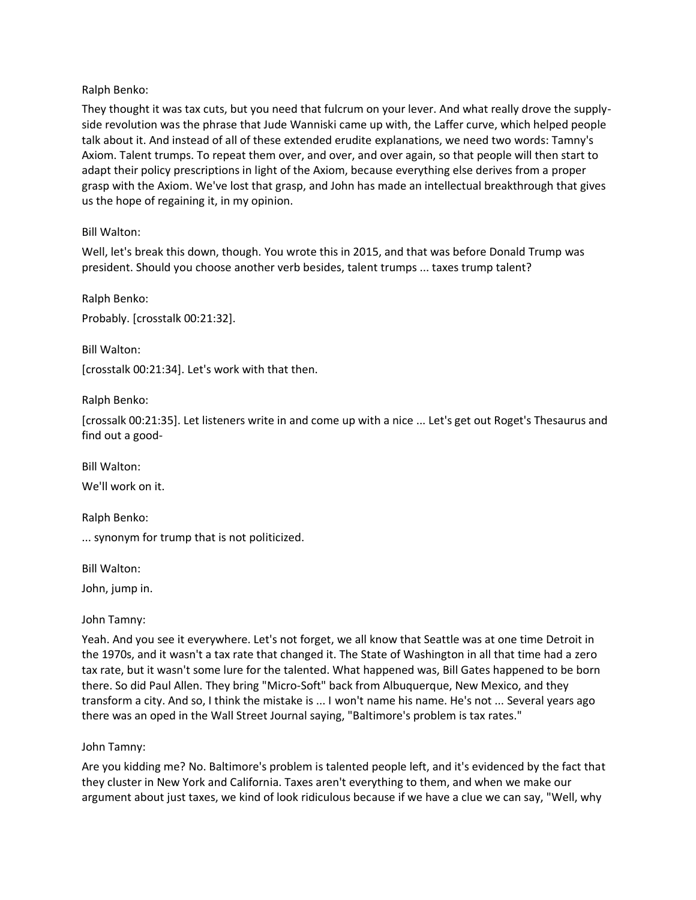## Ralph Benko:

They thought it was tax cuts, but you need that fulcrum on your lever. And what really drove the supplyside revolution was the phrase that Jude Wanniski came up with, the Laffer curve, which helped people talk about it. And instead of all of these extended erudite explanations, we need two words: Tamny's Axiom. Talent trumps. To repeat them over, and over, and over again, so that people will then start to adapt their policy prescriptions in light of the Axiom, because everything else derives from a proper grasp with the Axiom. We've lost that grasp, and John has made an intellectual breakthrough that gives us the hope of regaining it, in my opinion.

# Bill Walton:

Well, let's break this down, though. You wrote this in 2015, and that was before Donald Trump was president. Should you choose another verb besides, talent trumps ... taxes trump talent?

Ralph Benko:

Probably. [crosstalk 00:21:32].

Bill Walton:

[crosstalk 00:21:34]. Let's work with that then.

Ralph Benko:

[crossalk 00:21:35]. Let listeners write in and come up with a nice ... Let's get out Roget's Thesaurus and find out a good-

Bill Walton:

We'll work on it.

Ralph Benko:

... synonym for trump that is not politicized.

Bill Walton:

John, jump in.

## John Tamny:

Yeah. And you see it everywhere. Let's not forget, we all know that Seattle was at one time Detroit in the 1970s, and it wasn't a tax rate that changed it. The State of Washington in all that time had a zero tax rate, but it wasn't some lure for the talented. What happened was, Bill Gates happened to be born there. So did Paul Allen. They bring "Micro-Soft" back from Albuquerque, New Mexico, and they transform a city. And so, I think the mistake is ... I won't name his name. He's not ... Several years ago there was an oped in the Wall Street Journal saying, "Baltimore's problem is tax rates."

## John Tamny:

Are you kidding me? No. Baltimore's problem is talented people left, and it's evidenced by the fact that they cluster in New York and California. Taxes aren't everything to them, and when we make our argument about just taxes, we kind of look ridiculous because if we have a clue we can say, "Well, why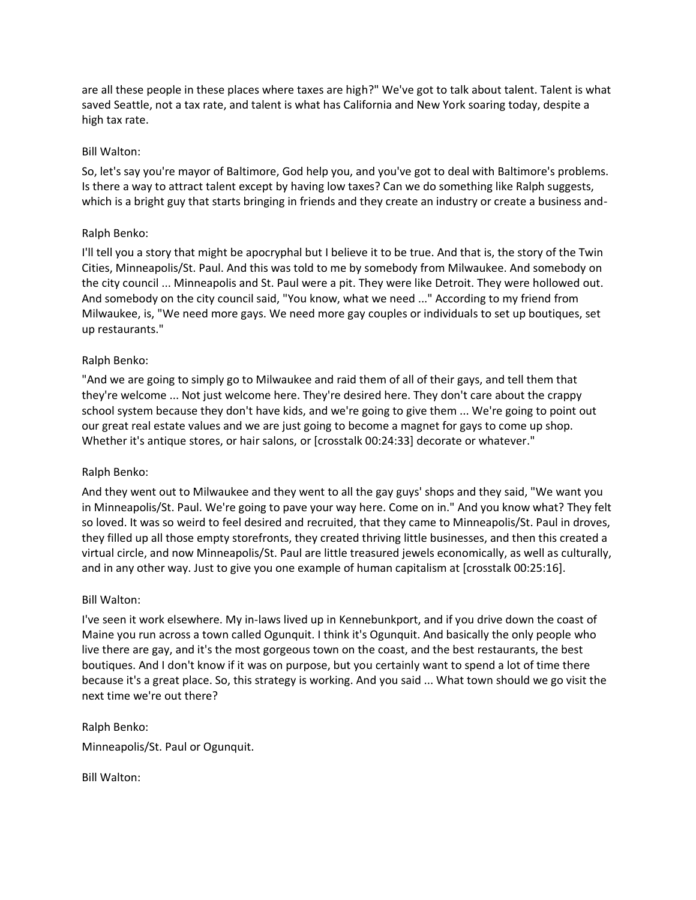are all these people in these places where taxes are high?" We've got to talk about talent. Talent is what saved Seattle, not a tax rate, and talent is what has California and New York soaring today, despite a high tax rate.

### Bill Walton:

So, let's say you're mayor of Baltimore, God help you, and you've got to deal with Baltimore's problems. Is there a way to attract talent except by having low taxes? Can we do something like Ralph suggests, which is a bright guy that starts bringing in friends and they create an industry or create a business and-

## Ralph Benko:

I'll tell you a story that might be apocryphal but I believe it to be true. And that is, the story of the Twin Cities, Minneapolis/St. Paul. And this was told to me by somebody from Milwaukee. And somebody on the city council ... Minneapolis and St. Paul were a pit. They were like Detroit. They were hollowed out. And somebody on the city council said, "You know, what we need ..." According to my friend from Milwaukee, is, "We need more gays. We need more gay couples or individuals to set up boutiques, set up restaurants."

### Ralph Benko:

"And we are going to simply go to Milwaukee and raid them of all of their gays, and tell them that they're welcome ... Not just welcome here. They're desired here. They don't care about the crappy school system because they don't have kids, and we're going to give them ... We're going to point out our great real estate values and we are just going to become a magnet for gays to come up shop. Whether it's antique stores, or hair salons, or [crosstalk 00:24:33] decorate or whatever."

## Ralph Benko:

And they went out to Milwaukee and they went to all the gay guys' shops and they said, "We want you in Minneapolis/St. Paul. We're going to pave your way here. Come on in." And you know what? They felt so loved. It was so weird to feel desired and recruited, that they came to Minneapolis/St. Paul in droves, they filled up all those empty storefronts, they created thriving little businesses, and then this created a virtual circle, and now Minneapolis/St. Paul are little treasured jewels economically, as well as culturally, and in any other way. Just to give you one example of human capitalism at [crosstalk 00:25:16].

#### Bill Walton:

I've seen it work elsewhere. My in-laws lived up in Kennebunkport, and if you drive down the coast of Maine you run across a town called Ogunquit. I think it's Ogunquit. And basically the only people who live there are gay, and it's the most gorgeous town on the coast, and the best restaurants, the best boutiques. And I don't know if it was on purpose, but you certainly want to spend a lot of time there because it's a great place. So, this strategy is working. And you said ... What town should we go visit the next time we're out there?

Ralph Benko: Minneapolis/St. Paul or Ogunquit.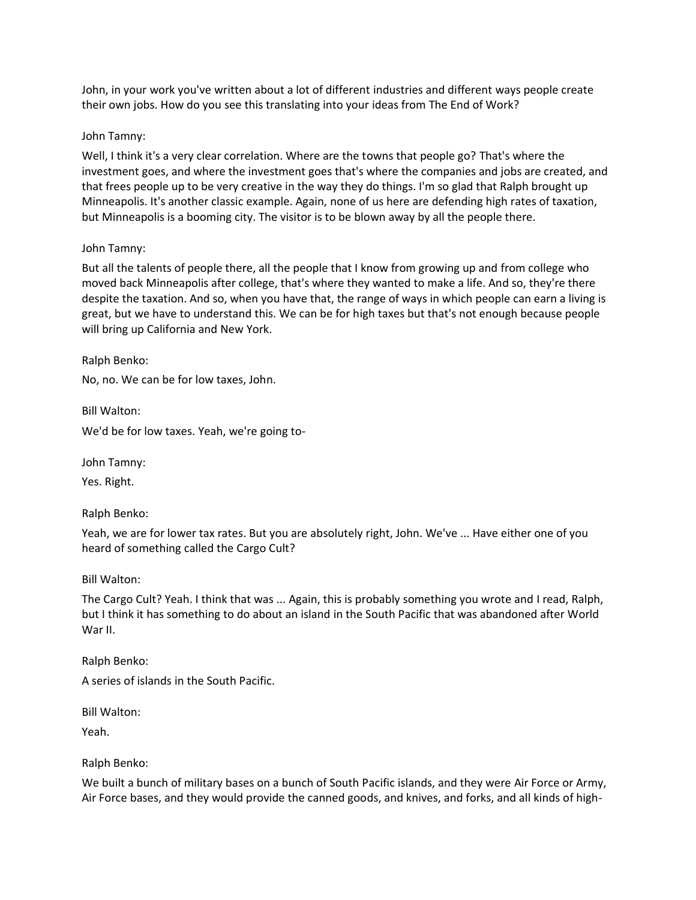John, in your work you've written about a lot of different industries and different ways people create their own jobs. How do you see this translating into your ideas from The End of Work?

### John Tamny:

Well, I think it's a very clear correlation. Where are the towns that people go? That's where the investment goes, and where the investment goes that's where the companies and jobs are created, and that frees people up to be very creative in the way they do things. I'm so glad that Ralph brought up Minneapolis. It's another classic example. Again, none of us here are defending high rates of taxation, but Minneapolis is a booming city. The visitor is to be blown away by all the people there.

### John Tamny:

But all the talents of people there, all the people that I know from growing up and from college who moved back Minneapolis after college, that's where they wanted to make a life. And so, they're there despite the taxation. And so, when you have that, the range of ways in which people can earn a living is great, but we have to understand this. We can be for high taxes but that's not enough because people will bring up California and New York.

Ralph Benko:

No, no. We can be for low taxes, John.

Bill Walton:

We'd be for low taxes. Yeah, we're going to-

John Tamny:

Yes. Right.

Ralph Benko:

Yeah, we are for lower tax rates. But you are absolutely right, John. We've ... Have either one of you heard of something called the Cargo Cult?

Bill Walton:

The Cargo Cult? Yeah. I think that was ... Again, this is probably something you wrote and I read, Ralph, but I think it has something to do about an island in the South Pacific that was abandoned after World War II.

Ralph Benko:

A series of islands in the South Pacific.

Bill Walton:

Yeah.

Ralph Benko:

We built a bunch of military bases on a bunch of South Pacific islands, and they were Air Force or Army, Air Force bases, and they would provide the canned goods, and knives, and forks, and all kinds of high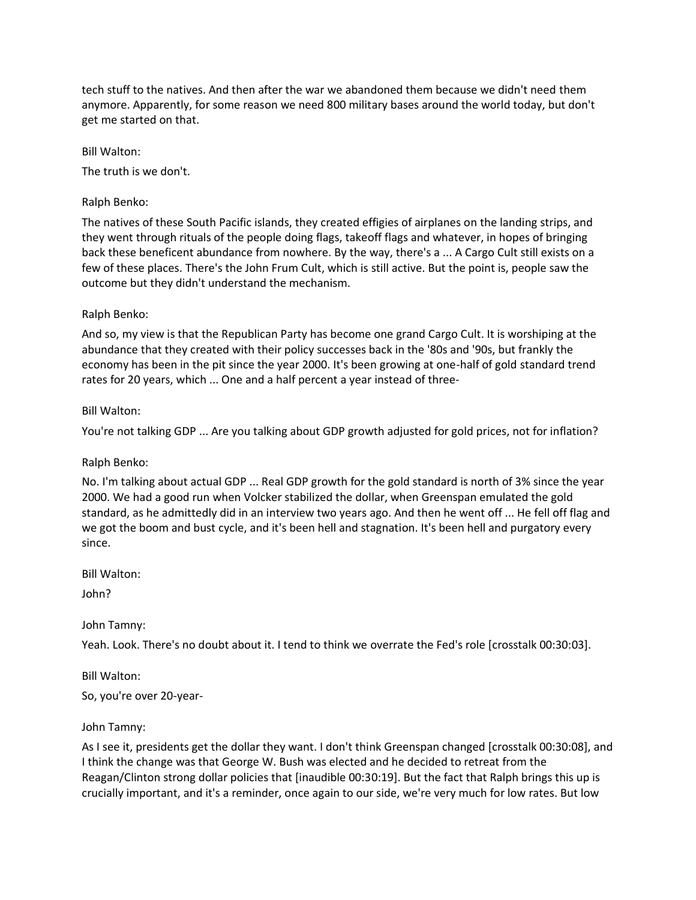tech stuff to the natives. And then after the war we abandoned them because we didn't need them anymore. Apparently, for some reason we need 800 military bases around the world today, but don't get me started on that.

Bill Walton:

The truth is we don't.

Ralph Benko:

The natives of these South Pacific islands, they created effigies of airplanes on the landing strips, and they went through rituals of the people doing flags, takeoff flags and whatever, in hopes of bringing back these beneficent abundance from nowhere. By the way, there's a ... A Cargo Cult still exists on a few of these places. There's the John Frum Cult, which is still active. But the point is, people saw the outcome but they didn't understand the mechanism.

### Ralph Benko:

And so, my view is that the Republican Party has become one grand Cargo Cult. It is worshiping at the abundance that they created with their policy successes back in the '80s and '90s, but frankly the economy has been in the pit since the year 2000. It's been growing at one-half of gold standard trend rates for 20 years, which ... One and a half percent a year instead of three-

### Bill Walton:

You're not talking GDP ... Are you talking about GDP growth adjusted for gold prices, not for inflation?

## Ralph Benko:

No. I'm talking about actual GDP ... Real GDP growth for the gold standard is north of 3% since the year 2000. We had a good run when Volcker stabilized the dollar, when Greenspan emulated the gold standard, as he admittedly did in an interview two years ago. And then he went off ... He fell off flag and we got the boom and bust cycle, and it's been hell and stagnation. It's been hell and purgatory every since.

Bill Walton:

John?

John Tamny:

Yeah. Look. There's no doubt about it. I tend to think we overrate the Fed's role [crosstalk 00:30:03].

Bill Walton:

So, you're over 20-year-

#### John Tamny:

As I see it, presidents get the dollar they want. I don't think Greenspan changed [crosstalk 00:30:08], and I think the change was that George W. Bush was elected and he decided to retreat from the Reagan/Clinton strong dollar policies that [inaudible 00:30:19]. But the fact that Ralph brings this up is crucially important, and it's a reminder, once again to our side, we're very much for low rates. But low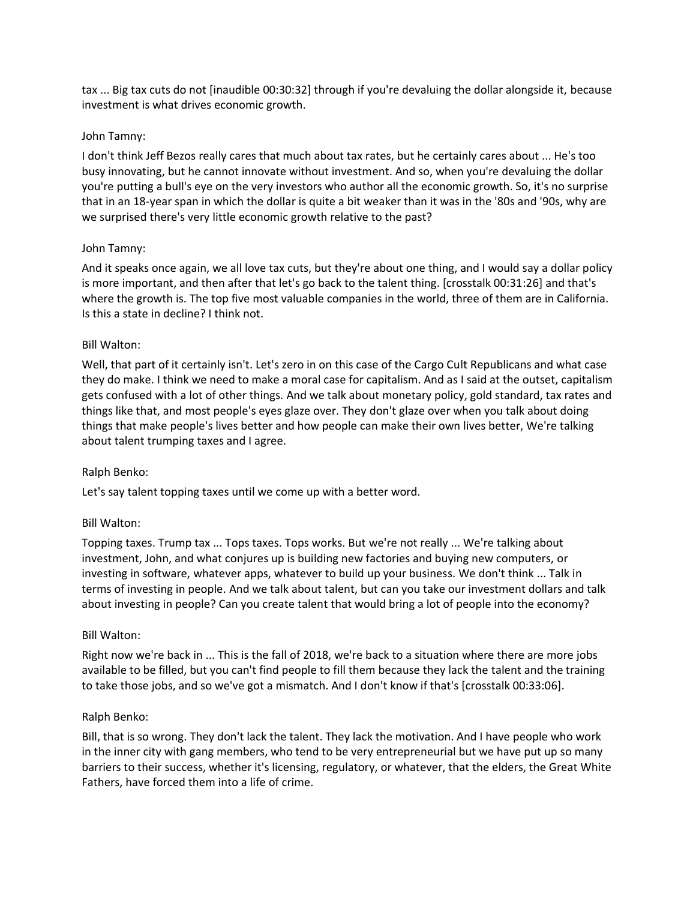tax ... Big tax cuts do not [inaudible 00:30:32] through if you're devaluing the dollar alongside it, because investment is what drives economic growth.

### John Tamny:

I don't think Jeff Bezos really cares that much about tax rates, but he certainly cares about ... He's too busy innovating, but he cannot innovate without investment. And so, when you're devaluing the dollar you're putting a bull's eye on the very investors who author all the economic growth. So, it's no surprise that in an 18-year span in which the dollar is quite a bit weaker than it was in the '80s and '90s, why are we surprised there's very little economic growth relative to the past?

### John Tamny:

And it speaks once again, we all love tax cuts, but they're about one thing, and I would say a dollar policy is more important, and then after that let's go back to the talent thing. [crosstalk 00:31:26] and that's where the growth is. The top five most valuable companies in the world, three of them are in California. Is this a state in decline? I think not.

### Bill Walton:

Well, that part of it certainly isn't. Let's zero in on this case of the Cargo Cult Republicans and what case they do make. I think we need to make a moral case for capitalism. And as I said at the outset, capitalism gets confused with a lot of other things. And we talk about monetary policy, gold standard, tax rates and things like that, and most people's eyes glaze over. They don't glaze over when you talk about doing things that make people's lives better and how people can make their own lives better, We're talking about talent trumping taxes and I agree.

## Ralph Benko:

Let's say talent topping taxes until we come up with a better word.

## Bill Walton:

Topping taxes. Trump tax ... Tops taxes. Tops works. But we're not really ... We're talking about investment, John, and what conjures up is building new factories and buying new computers, or investing in software, whatever apps, whatever to build up your business. We don't think ... Talk in terms of investing in people. And we talk about talent, but can you take our investment dollars and talk about investing in people? Can you create talent that would bring a lot of people into the economy?

#### Bill Walton:

Right now we're back in ... This is the fall of 2018, we're back to a situation where there are more jobs available to be filled, but you can't find people to fill them because they lack the talent and the training to take those jobs, and so we've got a mismatch. And I don't know if that's [crosstalk 00:33:06].

#### Ralph Benko:

Bill, that is so wrong. They don't lack the talent. They lack the motivation. And I have people who work in the inner city with gang members, who tend to be very entrepreneurial but we have put up so many barriers to their success, whether it's licensing, regulatory, or whatever, that the elders, the Great White Fathers, have forced them into a life of crime.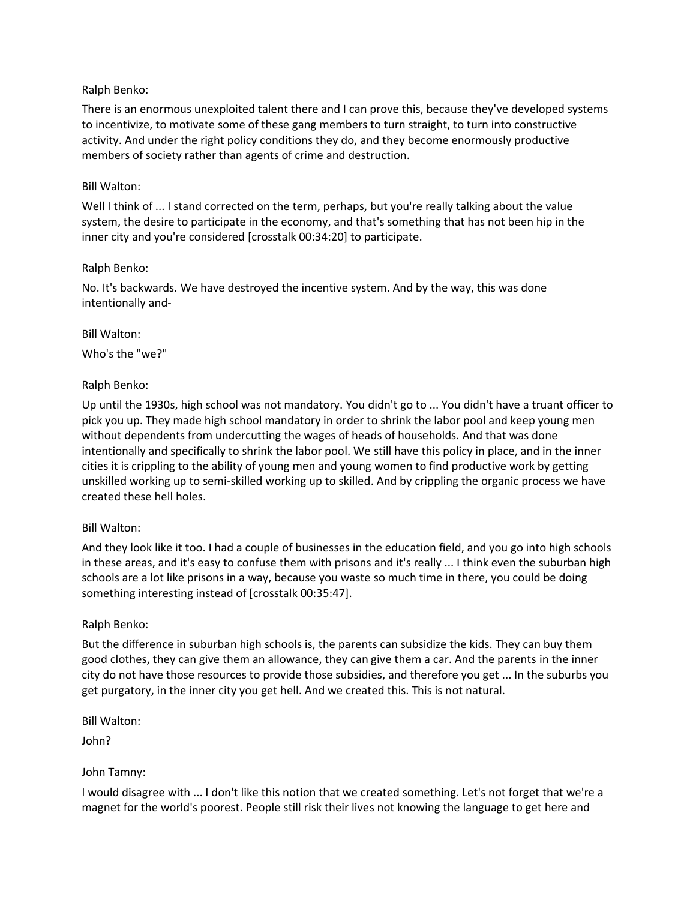## Ralph Benko:

There is an enormous unexploited talent there and I can prove this, because they've developed systems to incentivize, to motivate some of these gang members to turn straight, to turn into constructive activity. And under the right policy conditions they do, and they become enormously productive members of society rather than agents of crime and destruction.

## Bill Walton:

Well I think of ... I stand corrected on the term, perhaps, but you're really talking about the value system, the desire to participate in the economy, and that's something that has not been hip in the inner city and you're considered [crosstalk 00:34:20] to participate.

# Ralph Benko:

No. It's backwards. We have destroyed the incentive system. And by the way, this was done intentionally and-

# Bill Walton:

Who's the "we?"

# Ralph Benko:

Up until the 1930s, high school was not mandatory. You didn't go to ... You didn't have a truant officer to pick you up. They made high school mandatory in order to shrink the labor pool and keep young men without dependents from undercutting the wages of heads of households. And that was done intentionally and specifically to shrink the labor pool. We still have this policy in place, and in the inner cities it is crippling to the ability of young men and young women to find productive work by getting unskilled working up to semi-skilled working up to skilled. And by crippling the organic process we have created these hell holes.

# Bill Walton:

And they look like it too. I had a couple of businesses in the education field, and you go into high schools in these areas, and it's easy to confuse them with prisons and it's really ... I think even the suburban high schools are a lot like prisons in a way, because you waste so much time in there, you could be doing something interesting instead of [crosstalk 00:35:47].

## Ralph Benko:

But the difference in suburban high schools is, the parents can subsidize the kids. They can buy them good clothes, they can give them an allowance, they can give them a car. And the parents in the inner city do not have those resources to provide those subsidies, and therefore you get ... In the suburbs you get purgatory, in the inner city you get hell. And we created this. This is not natural.

Bill Walton:

John?

# John Tamny:

I would disagree with ... I don't like this notion that we created something. Let's not forget that we're a magnet for the world's poorest. People still risk their lives not knowing the language to get here and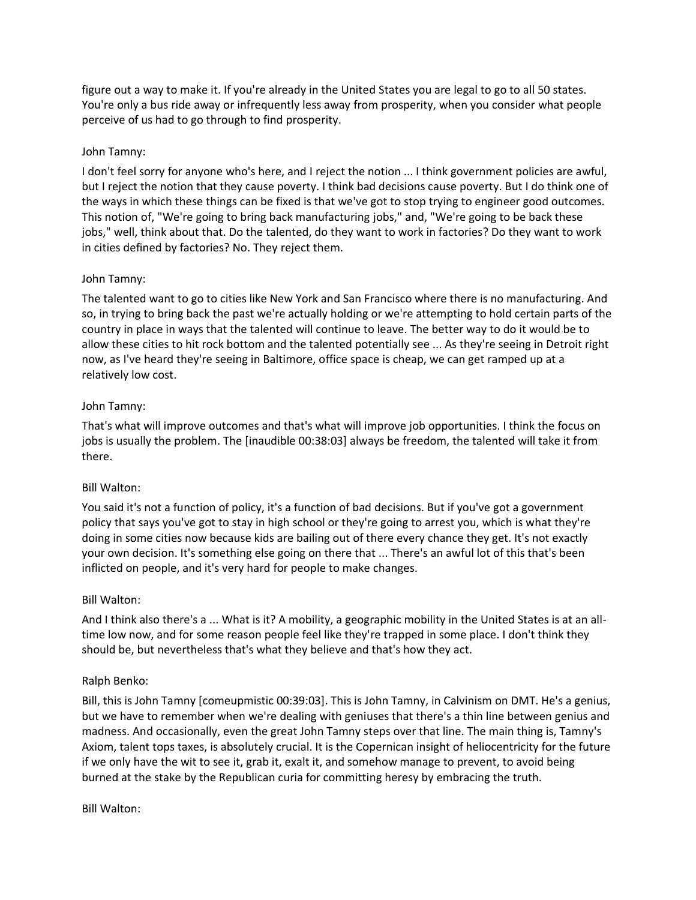figure out a way to make it. If you're already in the United States you are legal to go to all 50 states. You're only a bus ride away or infrequently less away from prosperity, when you consider what people perceive of us had to go through to find prosperity.

## John Tamny:

I don't feel sorry for anyone who's here, and I reject the notion ... I think government policies are awful, but I reject the notion that they cause poverty. I think bad decisions cause poverty. But I do think one of the ways in which these things can be fixed is that we've got to stop trying to engineer good outcomes. This notion of, "We're going to bring back manufacturing jobs," and, "We're going to be back these jobs," well, think about that. Do the talented, do they want to work in factories? Do they want to work in cities defined by factories? No. They reject them.

# John Tamny:

The talented want to go to cities like New York and San Francisco where there is no manufacturing. And so, in trying to bring back the past we're actually holding or we're attempting to hold certain parts of the country in place in ways that the talented will continue to leave. The better way to do it would be to allow these cities to hit rock bottom and the talented potentially see ... As they're seeing in Detroit right now, as I've heard they're seeing in Baltimore, office space is cheap, we can get ramped up at a relatively low cost.

# John Tamny:

That's what will improve outcomes and that's what will improve job opportunities. I think the focus on jobs is usually the problem. The [inaudible 00:38:03] always be freedom, the talented will take it from there.

# Bill Walton:

You said it's not a function of policy, it's a function of bad decisions. But if you've got a government policy that says you've got to stay in high school or they're going to arrest you, which is what they're doing in some cities now because kids are bailing out of there every chance they get. It's not exactly your own decision. It's something else going on there that ... There's an awful lot of this that's been inflicted on people, and it's very hard for people to make changes.

## Bill Walton:

And I think also there's a ... What is it? A mobility, a geographic mobility in the United States is at an alltime low now, and for some reason people feel like they're trapped in some place. I don't think they should be, but nevertheless that's what they believe and that's how they act.

## Ralph Benko:

Bill, this is John Tamny [comeupmistic 00:39:03]. This is John Tamny, in Calvinism on DMT. He's a genius, but we have to remember when we're dealing with geniuses that there's a thin line between genius and madness. And occasionally, even the great John Tamny steps over that line. The main thing is, Tamny's Axiom, talent tops taxes, is absolutely crucial. It is the Copernican insight of heliocentricity for the future if we only have the wit to see it, grab it, exalt it, and somehow manage to prevent, to avoid being burned at the stake by the Republican curia for committing heresy by embracing the truth.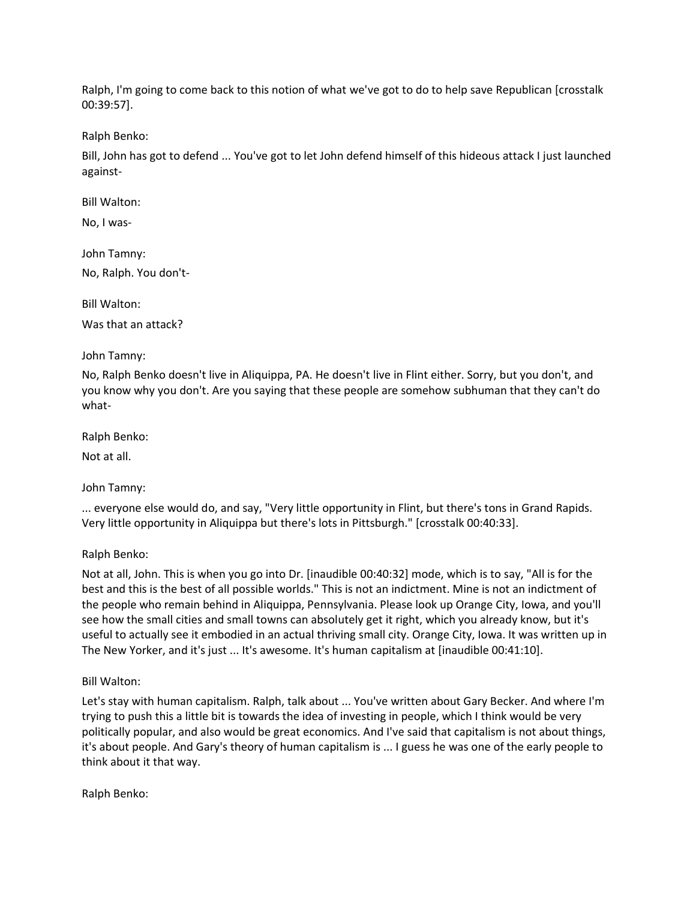Ralph, I'm going to come back to this notion of what we've got to do to help save Republican [crosstalk 00:39:57].

Ralph Benko:

Bill, John has got to defend ... You've got to let John defend himself of this hideous attack I just launched against-

Bill Walton:

No, I was-

John Tamny:

No, Ralph. You don't-

Bill Walton:

Was that an attack?

## John Tamny:

No, Ralph Benko doesn't live in Aliquippa, PA. He doesn't live in Flint either. Sorry, but you don't, and you know why you don't. Are you saying that these people are somehow subhuman that they can't do what-

Ralph Benko:

Not at all.

John Tamny:

... everyone else would do, and say, "Very little opportunity in Flint, but there's tons in Grand Rapids. Very little opportunity in Aliquippa but there's lots in Pittsburgh." [crosstalk 00:40:33].

## Ralph Benko:

Not at all, John. This is when you go into Dr. [inaudible 00:40:32] mode, which is to say, "All is for the best and this is the best of all possible worlds." This is not an indictment. Mine is not an indictment of the people who remain behind in Aliquippa, Pennsylvania. Please look up Orange City, Iowa, and you'll see how the small cities and small towns can absolutely get it right, which you already know, but it's useful to actually see it embodied in an actual thriving small city. Orange City, Iowa. It was written up in The New Yorker, and it's just ... It's awesome. It's human capitalism at [inaudible 00:41:10].

## Bill Walton:

Let's stay with human capitalism. Ralph, talk about ... You've written about Gary Becker. And where I'm trying to push this a little bit is towards the idea of investing in people, which I think would be very politically popular, and also would be great economics. And I've said that capitalism is not about things, it's about people. And Gary's theory of human capitalism is ... I guess he was one of the early people to think about it that way.

Ralph Benko: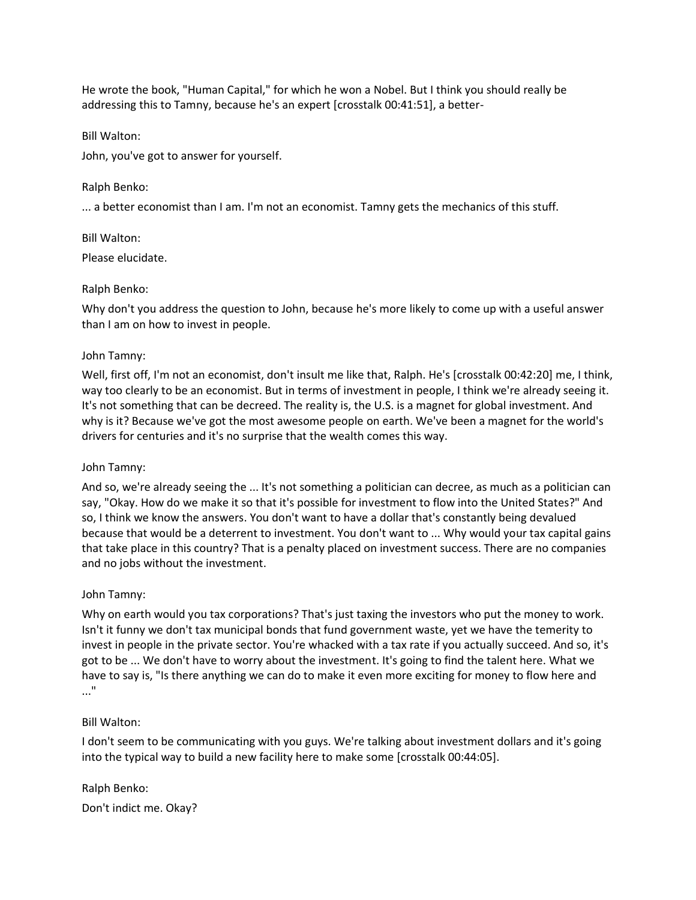He wrote the book, "Human Capital," for which he won a Nobel. But I think you should really be addressing this to Tamny, because he's an expert [crosstalk 00:41:51], a better-

Bill Walton:

John, you've got to answer for yourself.

Ralph Benko:

... a better economist than I am. I'm not an economist. Tamny gets the mechanics of this stuff.

Bill Walton:

Please elucidate.

# Ralph Benko:

Why don't you address the question to John, because he's more likely to come up with a useful answer than I am on how to invest in people.

# John Tamny:

Well, first off, I'm not an economist, don't insult me like that, Ralph. He's [crosstalk 00:42:20] me, I think, way too clearly to be an economist. But in terms of investment in people, I think we're already seeing it. It's not something that can be decreed. The reality is, the U.S. is a magnet for global investment. And why is it? Because we've got the most awesome people on earth. We've been a magnet for the world's drivers for centuries and it's no surprise that the wealth comes this way.

John Tamny:

And so, we're already seeing the ... It's not something a politician can decree, as much as a politician can say, "Okay. How do we make it so that it's possible for investment to flow into the United States?" And so, I think we know the answers. You don't want to have a dollar that's constantly being devalued because that would be a deterrent to investment. You don't want to ... Why would your tax capital gains that take place in this country? That is a penalty placed on investment success. There are no companies and no jobs without the investment.

# John Tamny:

Why on earth would you tax corporations? That's just taxing the investors who put the money to work. Isn't it funny we don't tax municipal bonds that fund government waste, yet we have the temerity to invest in people in the private sector. You're whacked with a tax rate if you actually succeed. And so, it's got to be ... We don't have to worry about the investment. It's going to find the talent here. What we have to say is, "Is there anything we can do to make it even more exciting for money to flow here and ..."

# Bill Walton:

I don't seem to be communicating with you guys. We're talking about investment dollars and it's going into the typical way to build a new facility here to make some [crosstalk 00:44:05].

Ralph Benko: Don't indict me. Okay?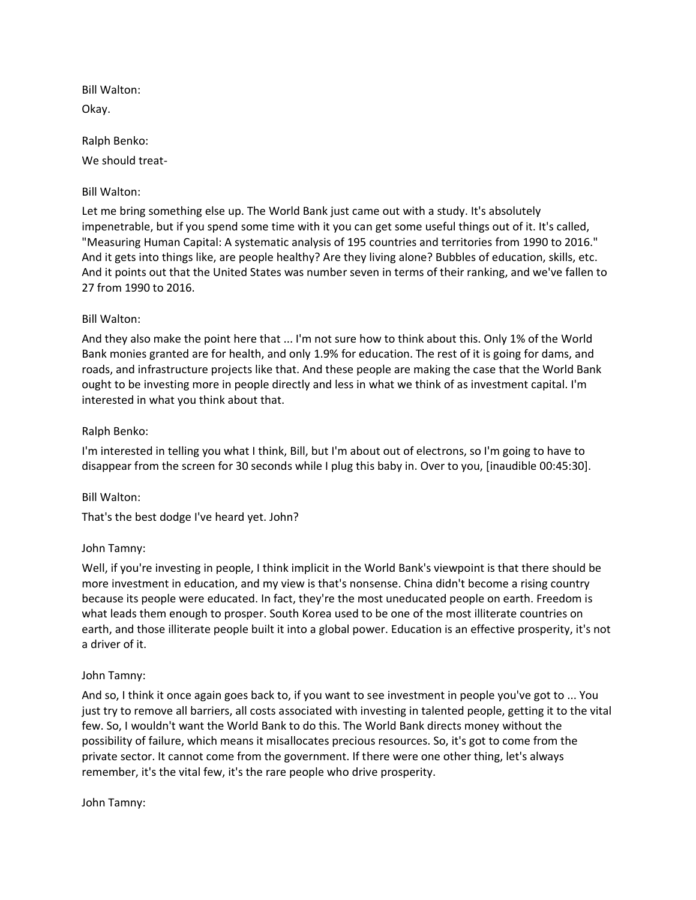Bill Walton: Okay.

Ralph Benko: We should treat-

# Bill Walton:

Let me bring something else up. The World Bank just came out with a study. It's absolutely impenetrable, but if you spend some time with it you can get some useful things out of it. It's called, "Measuring Human Capital: A systematic analysis of 195 countries and territories from 1990 to 2016." And it gets into things like, are people healthy? Are they living alone? Bubbles of education, skills, etc. And it points out that the United States was number seven in terms of their ranking, and we've fallen to 27 from 1990 to 2016.

## Bill Walton:

And they also make the point here that ... I'm not sure how to think about this. Only 1% of the World Bank monies granted are for health, and only 1.9% for education. The rest of it is going for dams, and roads, and infrastructure projects like that. And these people are making the case that the World Bank ought to be investing more in people directly and less in what we think of as investment capital. I'm interested in what you think about that.

## Ralph Benko:

I'm interested in telling you what I think, Bill, but I'm about out of electrons, so I'm going to have to disappear from the screen for 30 seconds while I plug this baby in. Over to you, [inaudible 00:45:30].

## Bill Walton:

That's the best dodge I've heard yet. John?

## John Tamny:

Well, if you're investing in people, I think implicit in the World Bank's viewpoint is that there should be more investment in education, and my view is that's nonsense. China didn't become a rising country because its people were educated. In fact, they're the most uneducated people on earth. Freedom is what leads them enough to prosper. South Korea used to be one of the most illiterate countries on earth, and those illiterate people built it into a global power. Education is an effective prosperity, it's not a driver of it.

## John Tamny:

And so, I think it once again goes back to, if you want to see investment in people you've got to ... You just try to remove all barriers, all costs associated with investing in talented people, getting it to the vital few. So, I wouldn't want the World Bank to do this. The World Bank directs money without the possibility of failure, which means it misallocates precious resources. So, it's got to come from the private sector. It cannot come from the government. If there were one other thing, let's always remember, it's the vital few, it's the rare people who drive prosperity.

John Tamny: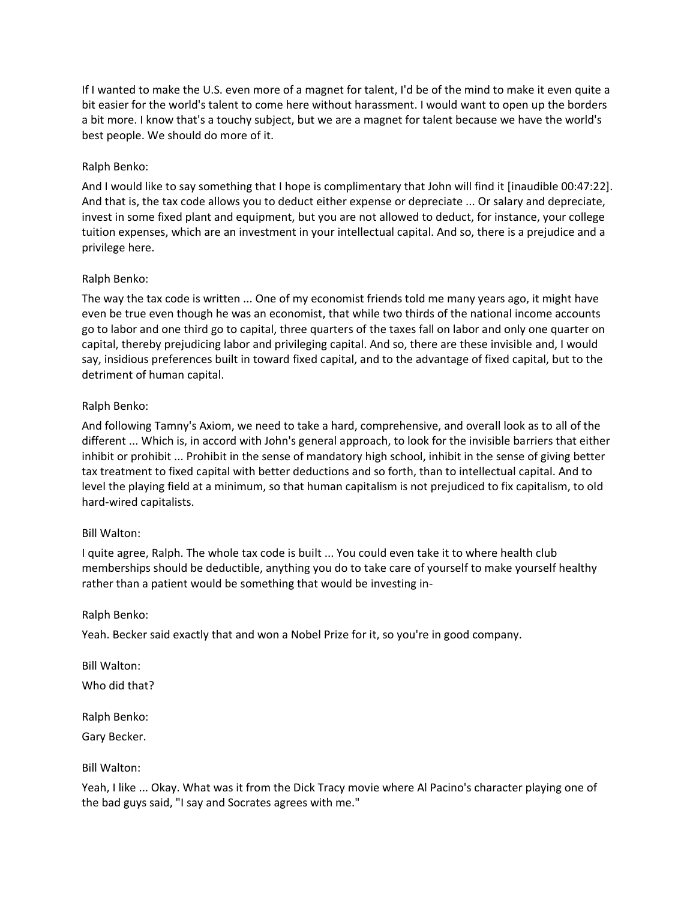If I wanted to make the U.S. even more of a magnet for talent, I'd be of the mind to make it even quite a bit easier for the world's talent to come here without harassment. I would want to open up the borders a bit more. I know that's a touchy subject, but we are a magnet for talent because we have the world's best people. We should do more of it.

# Ralph Benko:

And I would like to say something that I hope is complimentary that John will find it [inaudible 00:47:22]. And that is, the tax code allows you to deduct either expense or depreciate ... Or salary and depreciate, invest in some fixed plant and equipment, but you are not allowed to deduct, for instance, your college tuition expenses, which are an investment in your intellectual capital. And so, there is a prejudice and a privilege here.

## Ralph Benko:

The way the tax code is written ... One of my economist friends told me many years ago, it might have even be true even though he was an economist, that while two thirds of the national income accounts go to labor and one third go to capital, three quarters of the taxes fall on labor and only one quarter on capital, thereby prejudicing labor and privileging capital. And so, there are these invisible and, I would say, insidious preferences built in toward fixed capital, and to the advantage of fixed capital, but to the detriment of human capital.

# Ralph Benko:

And following Tamny's Axiom, we need to take a hard, comprehensive, and overall look as to all of the different ... Which is, in accord with John's general approach, to look for the invisible barriers that either inhibit or prohibit ... Prohibit in the sense of mandatory high school, inhibit in the sense of giving better tax treatment to fixed capital with better deductions and so forth, than to intellectual capital. And to level the playing field at a minimum, so that human capitalism is not prejudiced to fix capitalism, to old hard-wired capitalists.

## Bill Walton:

I quite agree, Ralph. The whole tax code is built ... You could even take it to where health club memberships should be deductible, anything you do to take care of yourself to make yourself healthy rather than a patient would be something that would be investing in-

## Ralph Benko:

Yeah. Becker said exactly that and won a Nobel Prize for it, so you're in good company.

Bill Walton: Who did that?

Ralph Benko:

Gary Becker.

## Bill Walton:

Yeah, I like ... Okay. What was it from the Dick Tracy movie where Al Pacino's character playing one of the bad guys said, "I say and Socrates agrees with me."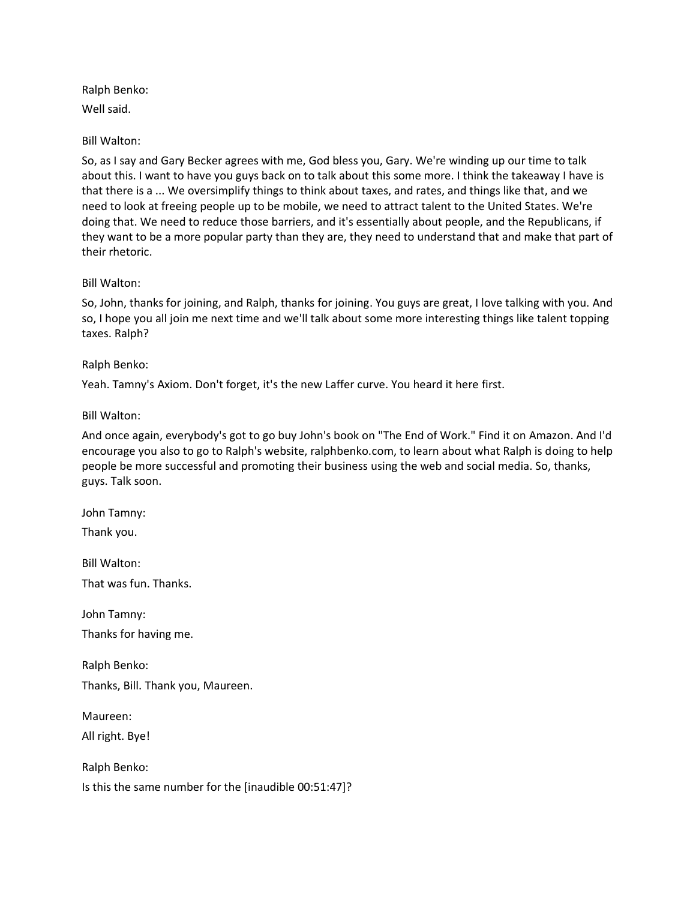Ralph Benko: Well said.

## Bill Walton:

So, as I say and Gary Becker agrees with me, God bless you, Gary. We're winding up our time to talk about this. I want to have you guys back on to talk about this some more. I think the takeaway I have is that there is a ... We oversimplify things to think about taxes, and rates, and things like that, and we need to look at freeing people up to be mobile, we need to attract talent to the United States. We're doing that. We need to reduce those barriers, and it's essentially about people, and the Republicans, if they want to be a more popular party than they are, they need to understand that and make that part of their rhetoric.

## Bill Walton:

So, John, thanks for joining, and Ralph, thanks for joining. You guys are great, I love talking with you. And so, I hope you all join me next time and we'll talk about some more interesting things like talent topping taxes. Ralph?

## Ralph Benko:

Yeah. Tamny's Axiom. Don't forget, it's the new Laffer curve. You heard it here first.

## Bill Walton:

And once again, everybody's got to go buy John's book on "The End of Work." Find it on Amazon. And I'd encourage you also to go to Ralph's website, ralphbenko.com, to learn about what Ralph is doing to help people be more successful and promoting their business using the web and social media. So, thanks, guys. Talk soon.

John Tamny:

Thank you.

Bill Walton:

That was fun. Thanks.

John Tamny: Thanks for having me.

Ralph Benko: Thanks, Bill. Thank you, Maureen.

Maureen:

All right. Bye!

Ralph Benko:

Is this the same number for the [inaudible 00:51:47]?